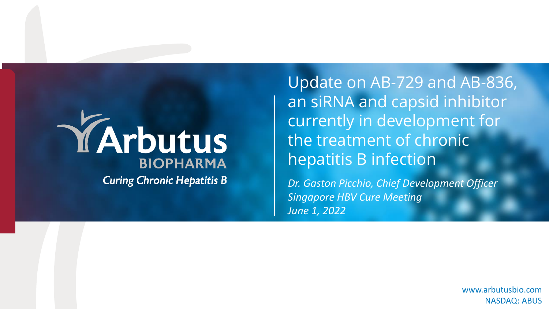# YArbutus **BIOPHARMA Curing Chronic Hepatitis B**

Update on AB-729 and AB-836, an siRNA and capsid inhibitor currently in development for the treatment of chronic hepatitis B infection

*Dr. Gaston Picchio, Chief Development Officer Singapore HBV Cure Meeting June 1, 2022*

> NASDAQ: ABUS www.arbutusbio.com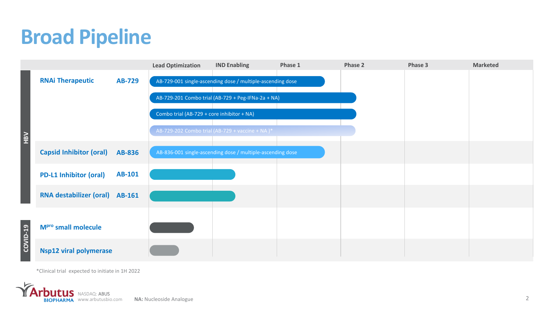## **Broad Pipeline**

|                |                                       |               | <b>Lead Optimization</b>                                   | <b>IND Enabling</b>                                        | Phase 1 | Phase 2 | Phase 3 | <b>Marketed</b> |
|----------------|---------------------------------------|---------------|------------------------------------------------------------|------------------------------------------------------------|---------|---------|---------|-----------------|
|                | <b>RNAi Therapeutic</b>               | AB-729        |                                                            | AB-729-001 single-ascending dose / multiple-ascending dose |         |         |         |                 |
|                |                                       |               |                                                            | AB-729-201 Combo trial (AB-729 + Peg-IFNa-2a + NA)         |         |         |         |                 |
|                |                                       |               | Combo trial (AB-729 + core inhibitor + NA)                 |                                                            |         |         |         |                 |
|                |                                       |               |                                                            | AB-729-202 Combo trial (AB-729 + vaccine + NA)*            |         |         |         |                 |
|                | <b>Capsid Inhibitor (oral)</b>        | <b>AB-836</b> | AB-836-001 single-ascending dose / multiple-ascending dose |                                                            |         |         |         |                 |
|                | <b>PD-L1 Inhibitor (oral)</b>         | <b>AB-101</b> |                                                            |                                                            |         |         |         |                 |
|                | <b>RNA destabilizer (oral) AB-161</b> |               |                                                            |                                                            |         |         |         |                 |
| ໑<br>OVID<br>ō | M <sup>pro</sup> small molecule       |               |                                                            |                                                            |         |         |         |                 |
|                | <b>Nsp12 viral polymerase</b>         |               |                                                            |                                                            |         |         |         |                 |

\*Clinical trial expected to initiate in 1H 2022

**Arbutus** NASDAQ: ABUS **BIOPHARMA** www.arbutusbio.com **NA:** Nucleoside Analogue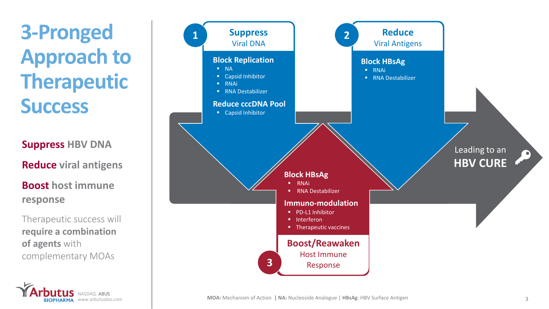**3-Pronged Approach to Therapeutic Success**

**Suppress HBV DNA**

**Reduce viral antigens**

**Boost host immune response**

Therapeutic success will **require a combination of agents** with complementary MOAs

NASDAQ: ABUS

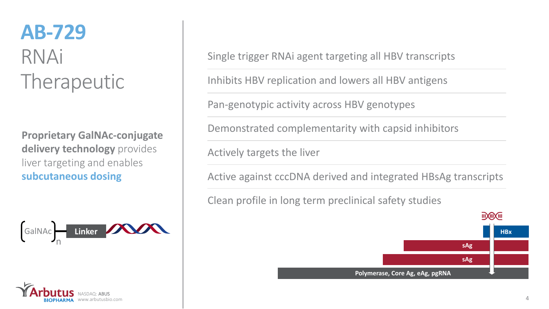## **AB-729** RNAi Therapeutic

**Proprietary GalNAc-conjugate delivery technology** provides liver targeting and enables **subcutaneous dosing**





Single trigger RNAi agent targeting all HBV transcripts

Inhibits HBV replication and lowers all HBV antigens

Pan-genotypic activity across HBV genotypes

Demonstrated complementarity with capsid inhibitors

Actively targets the liver

Active against cccDNA derived and integrated HBsAg transcripts

Clean profile in long term preclinical safety studies

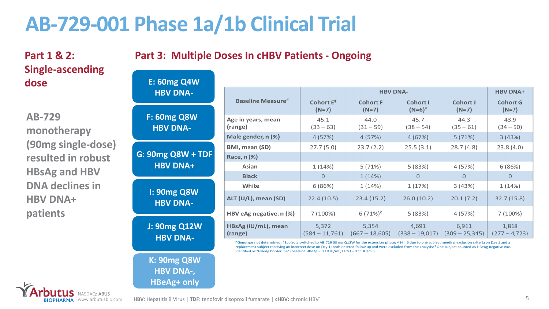#### **AB-729-001 Phase 1a/1b Clinical Trial**

**Part 3: Multiple Doses In cHBV Patients - Ongoing**

White

ALT (U/L), mean (SD)

HBV eAg negative, n (%)

HBsAg (IU/mL), mean

(range)

#### **Part 1 & 2: Single-ascending dose**

**AB-729 monotherapy (90mg single-dose) resulted in robust HBsAg and HBV DNA declines in HBV DNA+ patients**

NASDAQ: ABUS

| <b>E: 60mg Q4W</b>                    |                               |                         |                            |                              |                            |                            |
|---------------------------------------|-------------------------------|-------------------------|----------------------------|------------------------------|----------------------------|----------------------------|
| <b>HBV DNA-</b>                       | <b>Baseline Measure#</b>      |                         | <b>HBV DNA+</b>            |                              |                            |                            |
|                                       |                               | Cohort $E^*$<br>$(N=7)$ | <b>Cohort F</b><br>$(N=7)$ | Cohort I<br>$(N=6)^{\wedge}$ | <b>Cohort J</b><br>$(N=7)$ | <b>Cohort G</b><br>$(N=7)$ |
| <b>F: 60mg Q8W</b><br><b>HBV DNA-</b> | Age in years, mean<br>(range) | 45.1<br>$(33 - 63)$     | 44.0<br>$(31 - 59)$        | 45.7<br>$(38 - 54)$          | 44.3<br>$(35 - 61)$        | 43.9<br>$(34 - 50)$        |
|                                       | Male gender, n (%)            | 4(57%)                  | 4(57%)                     | 4(67%)                       | 5(71%)                     | 3(43%)                     |
|                                       | <b>BMI, mean (SD)</b>         | 27.7(5.0)               | 23.7(2.2)                  | 25.5(3.1)                    | 28.7(4.8)                  | 23.8(4.0)                  |
|                                       | Race, n (%)                   |                         |                            |                              |                            |                            |
| <b>HBV DNA+</b>                       | Asian                         | 1(14%)                  | 5(71%)                     | 5(83%)                       | 4 (57%)                    | 6(86%)                     |
|                                       | <b>Black</b>                  | $\overline{0}$          | 1(14%)                     | $\overline{0}$               | 0                          | 0                          |

 $6(86%)$ 

 $22.4(10.5)$ 

7 (100%)

5,372

 $(584 - 11,761)$ 

**I: 90mg Q8W HBV DNA-**

**F: 60** 

**G: 90mg** 

**J: 90mg Q12W HBV DNA-**

**K: 90mg Q8W HBV DNA-, HBeAg+ only**

# Genotype not determined; \*Subjects switched to AB-729 60 mg Q12W for the extension phase; ^N = 6 due to one subject meeting exclusion criteria on Day 1 and a replacement subject receiving an incorrect dose on Day 1; both entered follow up and were excluded from the analysis; <sup>o</sup> One subject counted as HBeAg negative was identified as "HBeAg borderline" (baseline HBeAg = 0.18 IU/mL, LLOQ = 0.11 IU/mL)

 $1(14%)$ 

 $23.4(15.2)$ 

6 $(71\%)$ 

5,354

 $(667 - 18,605)$ 

 $1(17%)$ 

 $26.0(10.2)$ 

 $5(83%)$ 

4,691

 $(338 - 19,017)$ 

DNA+

 $1(14%)$ 

 $32.7(15.8)$ 

 $7(100\%)$ 

1,818

 $(277 - 4, 723)$ 

 $3(43%)$ 

 $20.1(7.2)$ 

 $4(57%)$ 

6,911

 $(309 - 25, 345)$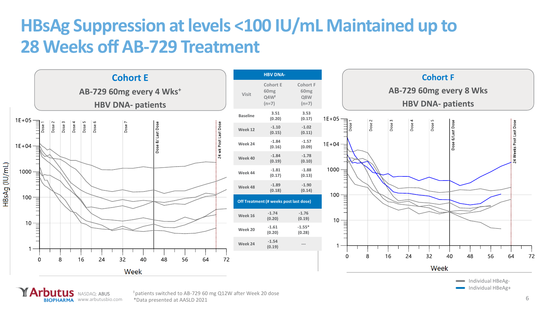#### **HBsAg Suppression at levels <100 IU/mL Maintained up to 28 Weeks off AB-729 Treatment**



**BIOPHARMA** www.arbutusbio.com \*Data presented at AASLD 2021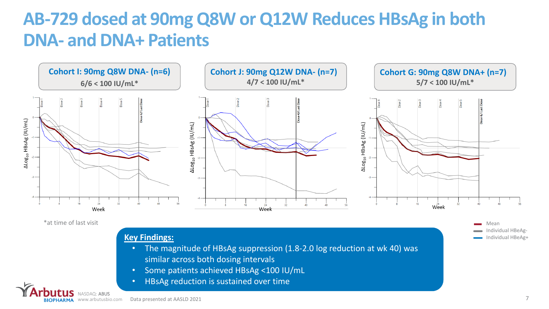#### **AB-729 dosed at 90mg Q8W or Q12W Reduces HBsAg in both DNA- and DNA+ Patients**



\*at time of last visit

NASDAQ: ABUS

#### **Key Findings:**

- The magnitude of HBsAg suppression (1.8-2.0 log reduction at wk 40) was similar across both dosing intervals
- Some patients achieved HBsAg <100 IU/mL
- HBsAg reduction is sustained over time

Mean

Individual HBeAg-Individual HBeAg+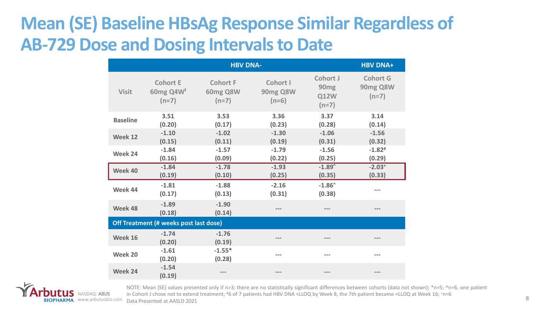#### **Mean (SE) Baseline HBsAg Response Similar Regardless of AB-729 Dose and Dosing Intervals to Date**

|                 | <b>HBV DNA+</b>                                        |                                               |                                 |                                                               |                                        |
|-----------------|--------------------------------------------------------|-----------------------------------------------|---------------------------------|---------------------------------------------------------------|----------------------------------------|
| <b>Visit</b>    | <b>Cohort E</b><br>60 $mg$ Q4 $W^{\dagger}$<br>$(n=7)$ | <b>Cohort F</b><br><b>60mg Q8W</b><br>$(n=7)$ | Cohort I<br>90mg Q8W<br>$(n=6)$ | <b>Cohort J</b><br>90 <sub>mg</sub><br><b>Q12W</b><br>$(n=7)$ | <b>Cohort G</b><br>90mg Q8W<br>$(n=7)$ |
| <b>Baseline</b> | 3.51<br>(0.20)                                         | 3.53<br>(0.17)                                | 3.36<br>(0.23)                  | 3.37<br>(0.28)                                                | 3.14<br>(0.14)                         |
| Week 12         | $-1.10$<br>(0.15)                                      | $-1.02$<br>(0.11)                             | $-1.30$<br>(0.19)               | $-1.06$<br>(0.31)                                             | $-1.56$<br>(0.32)                      |
| Week 24         | $-1.84$<br>(0.16)                                      | $-1.57$<br>(0.09)                             | $-1.79$<br>(0.22)               | $-1.56$<br>(0.25)                                             | $-1.82$ <sup>#</sup><br>(0.29)         |
| Week 40         | $-1.84$<br>(0.19)                                      | $-1.78$<br>(0.10)                             | $-1.93$<br>(0.25)               | $-1.89$<br>(0.35)                                             | $-2.03+$<br>(0.33)                     |
| Week 44         | $-1.81$<br>(0.17)                                      | $-1.88$<br>(0.13)                             | $-2.16$<br>(0.31)               | $-1.86^{\circ}$<br>(0.38)                                     | $- - -$                                |
| Week 48         | $-1.89$<br>(0.18)                                      | $-1.90$<br>(0.14)                             |                                 |                                                               |                                        |
|                 | Off Treatment (# weeks post last dose)                 |                                               |                                 |                                                               |                                        |
| Week 16         | $-1.74$<br>(0.20)                                      | $-1.76$<br>(0.19)                             |                                 |                                                               |                                        |
| Week 20         | $-1.61$<br>(0.20)                                      | $-1.55*$<br>(0.28)                            | $- - -$                         | $---$                                                         | ---                                    |
| Week 24         | $-1.54$<br>(0.19)                                      |                                               |                                 |                                                               | $---$                                  |



www.arbutusbio.com Data Presented at AASLD 2021NOTE: Mean (SE) values presented only if n>3; there are no statistically significant differences between cohorts (data not shown); \*n=5; ^n=6, one patient in Cohort J chose not to extend treatment; #6 of 7 patients had HBV DNA <LLOQ by Week 8, the 7th patient became <LLOQ at Week 16;  $+n=6$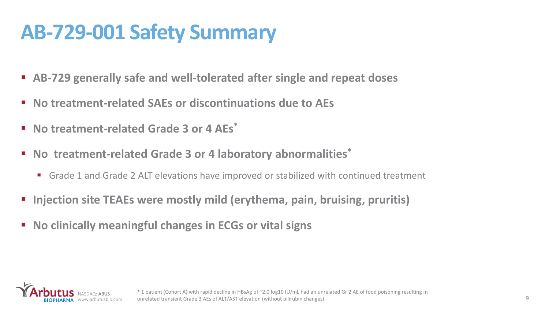### **AB-729-001 Safety Summary**

- AB-729 generally safe and well-tolerated after single and repeat doses
- No treatment-related SAEs or discontinuations due to AEs
- **No treatment-related Grade 3 or 4 AEs\***
- **No treatment-related Grade 3 or 4 laboratory abnormalities\***
	- Grade 1 and Grade 2 ALT elevations have improved or stabilized with continued treatment
- **Injection site TEAEs were mostly mild (erythema, pain, bruising, pruritis)**
- **No clinically meaningful changes in ECGs or vital signs**

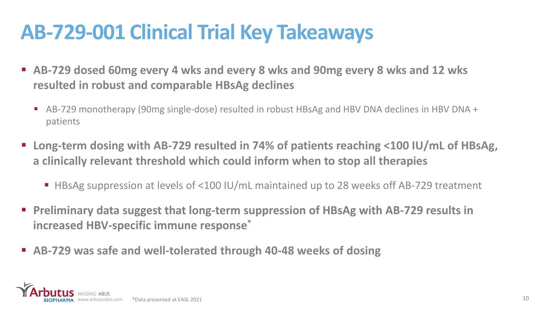### **AB-729-001 Clinical Trial Key Takeaways**

- **AB-729 dosed 60mg every 4 wks and every 8 wks and 90mg every 8 wks and 12 wks resulted in robust and comparable HBsAg declines**
	- AB-729 monotherapy (90mg single-dose) resulted in robust HBsAg and HBV DNA declines in HBV DNA + patients
- Long-term dosing with AB-729 resulted in 74% of patients reaching <100 IU/mL of HBsAg, **a clinically relevant threshold which could inform when to stop all therapies**
	- HBsAg suppression at levels of <100 IU/mL maintained up to 28 weeks off AB-729 treatment
- Preliminary data suggest that long-term suppression of HBsAg with AB-729 results in **increased HBV-specific immune response\***
- **AB-729 was safe and well-tolerated through 40-48 weeks of dosing**

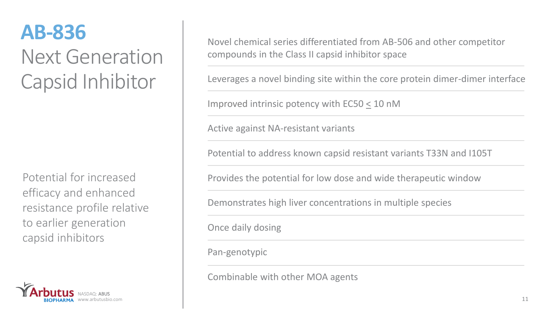### **AB-836** Next Generation Capsid Inhibitor

Potential for increased efficacy and enhanced resistance profile relative to earlier generation capsid inhibitors



Novel chemical series differentiated from AB-506 and other competitor compounds in the Class II capsid inhibitor space

Leverages a novel binding site within the core protein dimer-dimer interface

Improved intrinsic potency with EC50 < 10 nM

Active against NA-resistant variants

Potential to address known capsid resistant variants T33N and I105T

Provides the potential for low dose and wide therapeutic window

Demonstrates high liver concentrations in multiple species

Once daily dosing

Pan-genotypic

Combinable with other MOA agents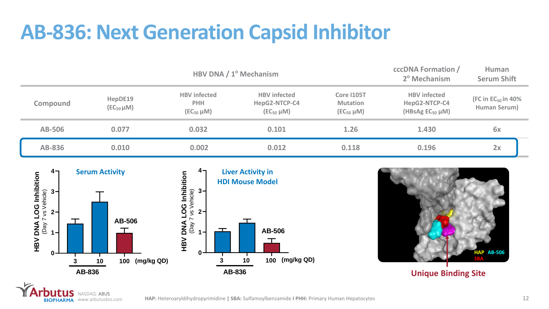### **AB-836: Next Generation Capsid Inhibitor**

|                 | HBV DNA / 1º Mechanism       |                                                        |                                                           |                                                           | <b>cccDNA Formation /</b><br>2º Mechanism                         | Human<br><b>Serum Shift</b>             |  |
|-----------------|------------------------------|--------------------------------------------------------|-----------------------------------------------------------|-----------------------------------------------------------|-------------------------------------------------------------------|-----------------------------------------|--|
| <b>Compound</b> | HepDE19<br>$(EC_{50} \mu M)$ | <b>HBV</b> infected<br><b>PHH</b><br>$(EC_{50} \mu M)$ | <b>HBV</b> infected<br>HepG2-NTCP-C4<br>$(EC_{50} \mu M)$ | <b>Core I105T</b><br><b>Mutation</b><br>$(EC_{50} \mu M)$ | <b>HBV</b> infected<br>HepG2-NTCP-C4<br>(HBsAg $EC_{50}$ $\mu$ M) | (FC in $EC_{50}$ in 40%<br>Human Serum) |  |
| <b>AB-506</b>   | 0.077                        | 0.032                                                  | 0.101                                                     | 1.26                                                      | 1.430                                                             | 6x                                      |  |
| <b>AB-836</b>   | 0.010                        | 0.002                                                  | 0.012                                                     | 0.118                                                     | 0.196                                                             | 2x                                      |  |



NASDAQ: ABUS

**BIOPHARMA** www.arbutusbio.com

S



**Unique Binding Site**

**HAP:** Heteroaryldihydropyrimidine **| SBA:** Sulfamoylbenzamide **I PHH:** Primary Human Hepatocytes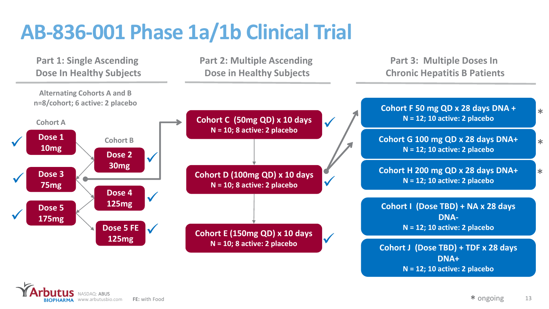### **AB-836-001 Phase 1a/1b Clinical Trial**



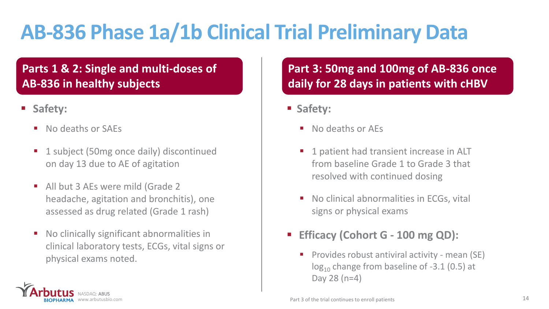# **AB-836 Phase 1a/1b Clinical Trial Preliminary Data**

#### **Parts 1 & 2: Single and multi-doses of AB-836 in healthy subjects**

- Safety:
	- No deaths or SAEs
	- 1 subject (50mg once daily) discontinued on day 13 due to AE of agitation
	- All but 3 AEs were mild (Grade 2 headache, agitation and bronchitis), one assessed as drug related (Grade 1 rash)
	- No clinically significant abnormalities in clinical laboratory tests, ECGs, vital signs or physical exams noted.

NASDAQ: ABUS www.arbutusbio.com

#### **Part 3: 50mg and 100mg of AB-836 once daily for 28 days in patients with cHBV**

- **Safety:**
	- No deaths or AEs
	- 1 patient had transient increase in ALT from baseline Grade 1 to Grade 3 that resolved with continued dosing
	- No clinical abnormalities in ECGs, vital signs or physical exams
- **Efficacy (Cohort G 100 mg QD):** 
	- Provides robust antiviral activity mean (SE)  $log_{10}$  change from baseline of -3.1 (0.5) at Day 28 (n=4)